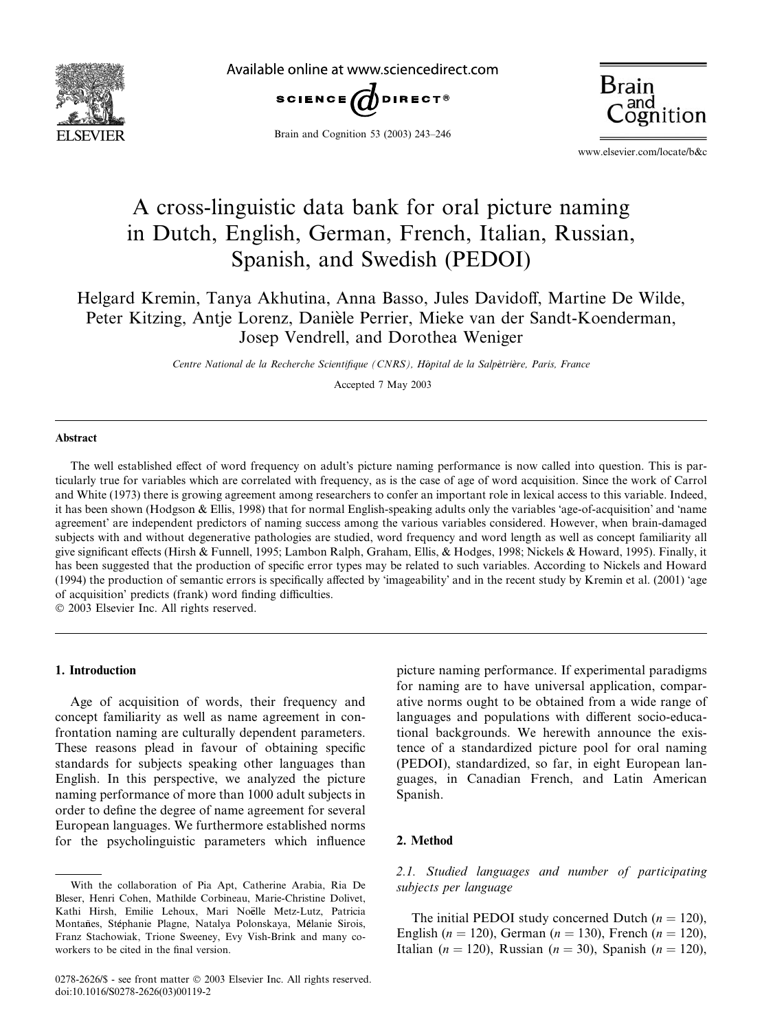

Available online at www.sciencedirect.com







www.elsevier.com/locate/b&c

# A cross-linguistic data bank for oral picture naming in Dutch, English, German, French, Italian, Russian, Spanish, and Swedish (PEDOI)

# Helgard Kremin, Tanya Akhutina, Anna Basso, Jules Davidoff, Martine De Wilde, Peter Kitzing, Antje Lorenz, Danièle Perrier, Mieke van der Sandt-Koenderman, Josep Vendrell, and Dorothea Weniger

Centre National de la Recherche Scientifique (CNRS), Hôpital de la Salpêtrière, Paris, France

Accepted 7 May 2003

#### Abstract

The well established effect of word frequency on adult's picture naming performance is now called into question. This is particularly true for variables which are correlated with frequency, as is the case of age of word acquisition. Since the work of Carrol and White (1973) there is growing agreement among researchers to confer an important role in lexical access to this variable. Indeed, it has been shown (Hodgson & Ellis, 1998) that for normal English-speaking adults only the variables 'age-of-acquisition' and 'name agreement' are independent predictors of naming success among the various variables considered. However, when brain-damaged subjects with and without degenerative pathologies are studied, word frequency and word length as well as concept familiarity all give significant effects (Hirsh & Funnell, 1995; Lambon Ralph, Graham, Ellis, & Hodges, 1998; Nickels & Howard, 1995). Finally, it has been suggested that the production of specific error types may be related to such variables. According to Nickels and Howard (1994) the production of semantic errors is specifically affected by 'imageability' and in the recent study by Kremin et al. (2001) 'age of acquisition' predicts (frank) word finding difficulties.

 $© 2003 Elsevier Inc. All rights reserved.$ 

### 1. Introduction

Age of acquisition of words, their frequency and concept familiarity as well as name agreement in confrontation naming are culturally dependent parameters. These reasons plead in favour of obtaining specific standards for subjects speaking other languages than English. In this perspective, we analyzed the picture naming performance of more than 1000 adult subjects in order to define the degree of name agreement for several European languages. We furthermore established norms for the psycholinguistic parameters which influence

picture naming performance. If experimental paradigms for naming are to have universal application, comparative norms ought to be obtained from a wide range of languages and populations with different socio-educational backgrounds. We herewith announce the existence of a standardized picture pool for oral naming (PEDOI), standardized, so far, in eight European languages, in Canadian French, and Latin American Spanish.

#### 2. Method

2.1. Studied languages and number of participating subjects per language

The initial PEDOI study concerned Dutch  $(n = 120)$ , English (*n* = 120), German (*n* = 130), French (*n* = 120), Italian (n = 120), Russian (n = 30), Spanish (n = 120),

With the collaboration of Pia Apt, Catherine Arabia, Ria De Bleser, Henri Cohen, Mathilde Corbineau, Marie-Christine Dolivet, Kathi Hirsh, Emilie Lehoux, Mari Noëlle Metz-Lutz, Patricia Montañes, Stéphanie Plagne, Natalya Polonskaya, Mélanie Sirois, Franz Stachowiak, Trione Sweeney, Evy Vish-Brink and many coworkers to be cited in the final version.

<sup>0278-2626/\$ -</sup> see front matter © 2003 Elsevier Inc. All rights reserved. doi:10.1016/S0278-2626(03)00119-2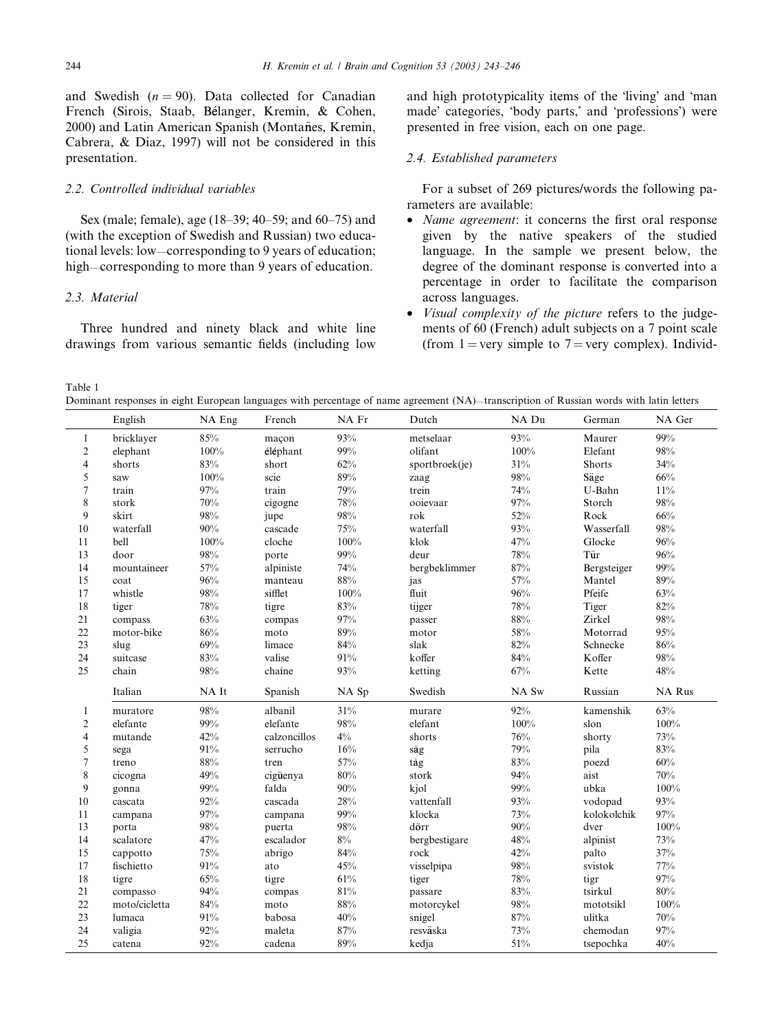and Swedish  $(n = 90)$ . Data collected for Canadian French (Sirois, Staab, Bélanger, Kremin, & Cohen, 2000) and Latin American Spanish (Montañes, Kremin, Cabrera, & Diaz, 1997) will not be considered in this presentation.

## 2.2. Controlled individual variables

Sex (male; female), age (18–39; 40–59; and 60–75) and (with the exception of Swedish and Russian) two educational levels: low—corresponding to 9 years of education; high—corresponding to more than 9 years of education.

#### 2.3 Material

Three hundred and ninety black and white line drawings from various semantic fields (including low and high prototypicality items of the 'living' and 'man made' categories, 'body parts,' and 'professions') were presented in free vision, each on one page.

#### 2.4. Established parameters

For a subset of 269 pictures/words the following parameters are available:

- Name agreement: it concerns the first oral response given by the native speakers of the studied language. In the sample we present below, the degree of the dominant response is converted into a percentage in order to facilitate the comparison across languages.
- Visual complexity of the picture refers to the judgements of 60 (French) adult subjects on a 7 point scale (from 1 = very simple to 7 = very complex). Individ-

Table 1

 $\overline{a}$ 

Dominant responses in eight European languages with percentage of name agreement (NA)—transcription of Russian words with latin letters

|                  | English       | NA Eng     | French           | NA Fr      | Dutch             | NA Du      | German                | NA Ger        |
|------------------|---------------|------------|------------------|------------|-------------------|------------|-----------------------|---------------|
| $\mathbf{1}$     | bricklayer    | 85%        | maçon            | 93%        | metselaar         | 93%        | Maurer                | 99%           |
| $\boldsymbol{2}$ | elephant      | $100\%$    | éléphant         | 99%        | olifant           | 100%       | Elefant               | 98%           |
| $\overline{4}$   | shorts        | 83%        | short            | 62%        | sportbroek(je)    | 31%        | Shorts                | 34%           |
| 5                | saw           | 100%       | scie             | 89%        | zaag              | 98%        | Säge                  | 66%           |
| $\tau$           | train         | 97%        | train            | 79%        | trein             | 74%        | U-Bahn                | 11%           |
| $\,$ 8 $\,$      | stork         | 70%        | cigogne          | 78%        | ooievaar          | 97%        | Storch                | 98%           |
| 9                | skirt         | 98%        | jupe             | 98%        | rok               | 52%        | Rock                  | $66\%$        |
| 10               | waterfall     | 90%        | cascade          | 75%        | waterfall         | 93%        | Wasserfall            | 98%           |
| 11               | bell          | 100%       | cloche           | $100\%$    | klok              | 47%        | Glocke                | 96%           |
| 13               | door          | 98%        | porte            | 99%        | deur              | 78%        | Tür                   | 96%           |
| 14               | mountaineer   | 57%        | alpiniste        | 74%        | bergbeklimmer     | 87%        | Bergsteiger           | 99%           |
| 15               | coat          | 96%        | manteau          | 88%        | jas               | 57%        | Mantel                | 89%           |
| 17               | whistle       | 98%        | sifflet          | $100\%$    | fluit             | 96%        | Pfeife                | 63%           |
| 18               | tiger         | 78%        | tigre            | 83%        | tijger            | 78%        | Tiger                 | 82%           |
| 21               | compass       | 63%        | compas           | 97%        | passer            | 88%        | Zirkel                | 98%           |
| 22               | motor-bike    | 86%        | moto             | 89%        | motor             | 58%        | Motorrad              | 95%           |
| 23               | slug          | 69%        | limace           | 84%        | slak              | 82%        | Schnecke              | 86%           |
| 24               | suitcase      | $83\%$     | valise           | 91%        | koffer            | 84%        | Koffer                | 98%           |
| 25               | chain         | 98%        | chaîne           | 93%        | ketting           | 67%        | Kette                 | 48%           |
|                  |               |            |                  |            |                   |            |                       |               |
|                  | Italian       | NA It      | Spanish          | NA Sp      | Swedish           | NA Sw      | Russian               | <b>NA Rus</b> |
| $\mathbf{1}$     | muratore      | 98%        | albanil          | 31%        | murare            | 92%        | kamenshik             | 63%           |
| $\overline{c}$   | elefante      | 99%        | elefante         | $98\%$     | elefant           | 100%       | slon                  | 100%          |
| $\overline{4}$   | mutande       | 42%        | calzoncillos     | $4\%$      | shorts            | 76%        | shorty                | 73%           |
| 5                | sega          | 91%        | serrucho         | 16%        | såg               | 79%        | pila                  | 83%           |
| $\tau$           | treno         | 88%        | tren             | 57%        | tåg               | 83%        | poezd                 | $60\%$        |
| 8                | cicogna       | 49%        | cigüenya         | 80%        | stork             | 94%        | aist                  | 70%           |
| 9                | gonna         | 99%        | falda            | 90%        | kjol              | 99%        | ubka                  | 100%          |
| 10               | cascata       | $92\%$     | cascada          | 28%        | vattenfall        | 93%        | vodopad               | 93%           |
| 11               | campana       | 97%        | campana          | 99%        | klocka            | 73%        | kolokolchik           | 97%           |
| 13               | porta         | 98%        | puerta           | 98%        | dörr              | 90%        | dver                  | 100%          |
| 14               | scalatore     | 47%        | escalador        | $8\%$      | bergbestigare     | 48%        | alpinist              | 73%           |
| 15               | cappotto      | 75%        | abrigo           | 84%        | rock              | 42%        | palto                 | 37%           |
| 17               | fischietto    | 91%        | ato              | 45%        | visselpipa        | 98%        | svistok               | 77%           |
| 18               | tigre         | 65%        | tigre            | 61%        | tiger             | 78%        | tigr                  | 97%           |
| 21               | compasso      | 94%        | compas           | $81\%$     | passare           | 83%        | tsirkul               | $80\%$        |
| 22               | moto/cicletta | 84%        | moto             | 88%        | motorcykel        | 98%        | mototsikl             | 100%          |
| 23               | lumaca        | 91%        | babosa           | 40%        | snigel            | 87%        | ulitka                | 70%           |
| 24<br>25         | valigia       | 92%<br>92% | maleta<br>cadena | 87%<br>89% | resväska<br>kedja | 73%<br>51% | chemodan<br>tsepochka | 97%<br>40%    |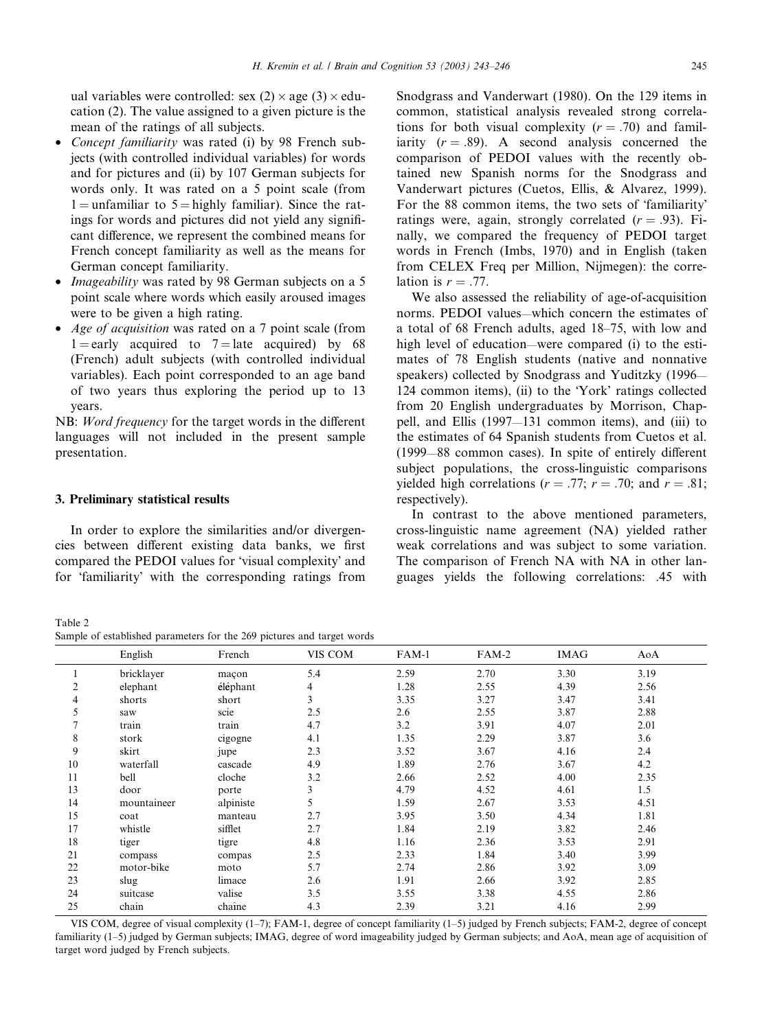ual variables were controlled: sex  $(2) \times age$   $(3) \times edu$ cation (2). The value assigned to a given picture is the mean of the ratings of all subjects.

- Concept familiarity was rated (i) by 98 French subjects (with controlled individual variables) for words and for pictures and (ii) by 107 German subjects for words only. It was rated on a 5 point scale (from  $1 =$  unfamiliar to  $5 =$  highly familiar). Since the ratings for words and pictures did not yield any significant difference, we represent the combined means for French concept familiarity as well as the means for German concept familiarity.
- *Imageability* was rated by 98 German subjects on a 5 point scale where words which easily aroused images were to be given a high rating.
- *Age of acquisition* was rated on a 7 point scale (from  $1 =$ early acquired to  $7 =$ late acquired) by 68 (French) adult subjects (with controlled individual variables). Each point corresponded to an age band of two years thus exploring the period up to 13 years.

NB: Word frequency for the target words in the different languages will not included in the present sample presentation.

#### 3. Preliminary statistical results

In order to explore the similarities and/or divergencies between different existing data banks, we first compared the PEDOI values for 'visual complexity' and for 'familiarity' with the corresponding ratings from

Table 2 Sample of established parameters for the 269 pictures and target words

Snodgrass and Vanderwart (1980). On the 129 items in common, statistical analysis revealed strong correlations for both visual complexity  $(r = .70)$  and familiarity  $(r = .89)$ . A second analysis concerned the comparison of PEDOI values with the recently obtained new Spanish norms for the Snodgrass and Vanderwart pictures (Cuetos, Ellis, & Alvarez, 1999). For the 88 common items, the two sets of 'familiarity' ratings were, again, strongly correlated  $(r = .93)$ . Finally, we compared the frequency of PEDOI target words in French (Imbs, 1970) and in English (taken from CELEX Freq per Million, Nijmegen): the correlation is  $r = .77$ .

We also assessed the reliability of age-of-acquisition norms. PEDOI values—which concern the estimates of a total of 68 French adults, aged 18–75, with low and high level of education—were compared (i) to the estimates of 78 English students (native and nonnative speakers) collected by Snodgrass and Yuditzky (1996— 124 common items), (ii) to the 'York' ratings collected from 20 English undergraduates by Morrison, Chappell, and Ellis (1997—131 common items), and (iii) to the estimates of 64 Spanish students from Cuetos et al. (1999—88 common cases). In spite of entirely different subject populations, the cross-linguistic comparisons yielded high correlations ( $r = .77$ ;  $r = .70$ ; and  $r = .81$ ; respectively).

In contrast to the above mentioned parameters, cross-linguistic name agreement (NA) yielded rather weak correlations and was subject to some variation. The comparison of French NA with NA in other languages yields the following correlations: .45 with

|    | English     | French    | VIS COM | FAM-1 | FAM-2 | <b>IMAG</b> | AoA  |
|----|-------------|-----------|---------|-------|-------|-------------|------|
|    | bricklayer  | maçon     | 5.4     | 2.59  | 2.70  | 3.30        | 3.19 |
| 2  | elephant    | éléphant  | 4       | 1.28  | 2.55  | 4.39        | 2.56 |
| 4  | shorts      | short     | 3       | 3.35  | 3.27  | 3.47        | 3.41 |
| 5  | saw         | scie      | 2.5     | 2.6   | 2.55  | 3.87        | 2.88 |
| 7  | train       | train     | 4.7     | 3.2   | 3.91  | 4.07        | 2.01 |
| 8  | stork       | cigogne   | 4.1     | 1.35  | 2.29  | 3.87        | 3.6  |
| 9  | skirt       | jupe      | 2.3     | 3.52  | 3.67  | 4.16        | 2.4  |
| 10 | waterfall   | cascade   | 4.9     | 1.89  | 2.76  | 3.67        | 4.2  |
| 11 | bell        | cloche    | 3.2     | 2.66  | 2.52  | 4.00        | 2.35 |
| 13 | door        | porte     | 3       | 4.79  | 4.52  | 4.61        | 1.5  |
| 14 | mountaineer | alpiniste | 5       | 1.59  | 2.67  | 3.53        | 4.51 |
| 15 | coat        | manteau   | 2.7     | 3.95  | 3.50  | 4.34        | 1.81 |
| 17 | whistle     | sifflet   | 2.7     | 1.84  | 2.19  | 3.82        | 2.46 |
| 18 | tiger       | tigre     | 4.8     | 1.16  | 2.36  | 3.53        | 2.91 |
| 21 | compass     | compas    | 2.5     | 2.33  | 1.84  | 3.40        | 3.99 |
| 22 | motor-bike  | moto      | 5.7     | 2.74  | 2.86  | 3.92        | 3.09 |
| 23 | slug        | limace    | 2.6     | 1.91  | 2.66  | 3.92        | 2.85 |
| 24 | suitcase    | valise    | 3.5     | 3.55  | 3.38  | 4.55        | 2.86 |
| 25 | chain       | chaîne    | 4.3     | 2.39  | 3.21  | 4.16        | 2.99 |

VIS COM, degree of visual complexity (1–7); FAM-1, degree of concept familiarity (1–5) judged by French subjects; FAM-2, degree of concept familiarity (1–5) judged by German subjects; IMAG, degree of word imageability judged by German subjects; and AoA, mean age of acquisition of target word judged by French subjects.